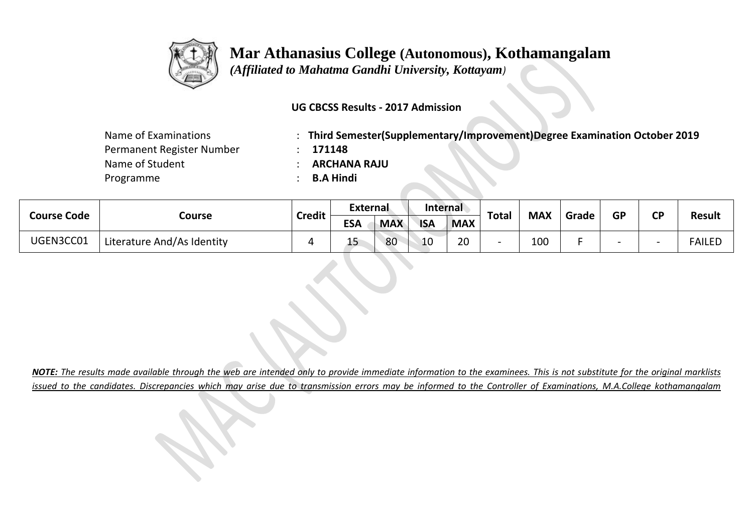

# **Mar Athanasius College (Autonomous), Kothamangalam**

 *(Affiliated to Mahatma Gandhi University, Kottayam)*

### **UG CBCSS Results - 2017 Admission**

| Name of Examinations      |  |  |  |  |  |  |  |  |
|---------------------------|--|--|--|--|--|--|--|--|
| Permanent Register Number |  |  |  |  |  |  |  |  |
| Name of Student           |  |  |  |  |  |  |  |  |
| Programme                 |  |  |  |  |  |  |  |  |

: Third Semester(Supplementary/Improvement)Degree Examination October 2019

 $: 171148$ 

Name of Student : **ARCHANA RAJU**

Programme : **B.A Hindi**

| <b>Course Code</b> | Course                     | <b>Credit</b> | <b>External</b> |            | <b>Internal</b> |            | <b>Total</b> |            |       | GP | ΓD |               |
|--------------------|----------------------------|---------------|-----------------|------------|-----------------|------------|--------------|------------|-------|----|----|---------------|
|                    |                            |               | <b>ESA</b>      | <b>MAX</b> | <b>ISA</b>      | <b>MAX</b> |              | <b>MAX</b> | Grade |    |    | <b>Result</b> |
| UGEN3CC01          | Literature And/As Identity |               | --              | 80         | 10              | 20         |              | 100        |       |    |    | <b>FAILED</b> |

*NOTE: The results made available through the web are intended only to provide immediate information to the examinees. This is not substitute for the original marklists issued to the candidates. Discrepancies which may arise due to transmission errors may be informed to the Controller of Examinations, M.A.College kothamangalam*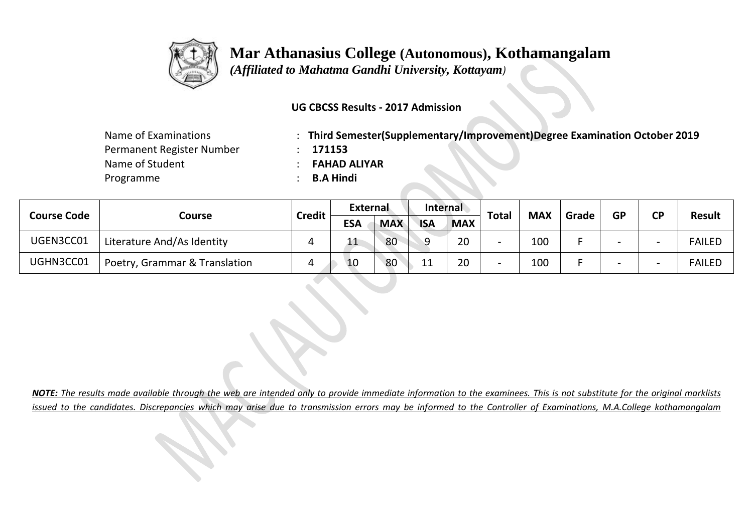

### **Mar Athanasius College (Autonomous), Kothamangalam**

 *(Affiliated to Mahatma Gandhi University, Kottayam)*

### **UG CBCSS Results - 2017 Admission**

| Name of Examinations      |
|---------------------------|
| Permanent Register Number |
| Name of Student           |
| Programme                 |

: Third Semester(Supplementary/Improvement)Degree Examination October 2019

 $: 171153$ 

Name of Student : **FAHAD ALIYAR**

Programme : **B.A Hindi**

| <b>Course Code</b> | Course                        | Credit | <b>External</b> |            | <b>Internal</b> |            |                          |            |       |           | <b>CD</b> |               |
|--------------------|-------------------------------|--------|-----------------|------------|-----------------|------------|--------------------------|------------|-------|-----------|-----------|---------------|
|                    |                               |        | <b>ESA</b>      | <b>MAX</b> | <b>ISA</b>      | <b>MAX</b> | <b>Total</b>             | <b>MAX</b> | Grade | <b>GP</b> |           | <b>Result</b> |
| UGEN3CC01          | Literature And/As Identity    |        |                 | 80         |                 | 20         | $\overline{\phantom{0}}$ | 100        |       |           | -         | <b>FAILED</b> |
| UGHN3CC01          | Poetry, Grammar & Translation |        | 10              | 80         | 11<br>-- -      | 20         | $\overline{\phantom{0}}$ | 100        |       |           |           | <b>FAILED</b> |

*NOTE: The results made available through the web are intended only to provide immediate information to the examinees. This is not substitute for the original marklists issued to the candidates. Discrepancies which may arise due to transmission errors may be informed to the Controller of Examinations, M.A.College kothamangalam*